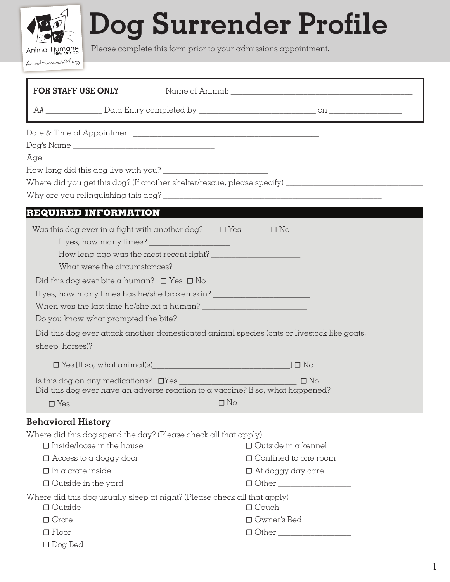## Dog Surrender Profile

Please complete this form prior to your admissions appointment.

Animal Humane AnimalHumaneNM.org

| FOR STAFF USE ONLY                                                                                                                                                                                                                                                                                     |                                                                                                                                                                                                                                                                                    |                                                                                                      |  |
|--------------------------------------------------------------------------------------------------------------------------------------------------------------------------------------------------------------------------------------------------------------------------------------------------------|------------------------------------------------------------------------------------------------------------------------------------------------------------------------------------------------------------------------------------------------------------------------------------|------------------------------------------------------------------------------------------------------|--|
|                                                                                                                                                                                                                                                                                                        |                                                                                                                                                                                                                                                                                    |                                                                                                      |  |
|                                                                                                                                                                                                                                                                                                        |                                                                                                                                                                                                                                                                                    |                                                                                                      |  |
|                                                                                                                                                                                                                                                                                                        |                                                                                                                                                                                                                                                                                    |                                                                                                      |  |
|                                                                                                                                                                                                                                                                                                        |                                                                                                                                                                                                                                                                                    |                                                                                                      |  |
|                                                                                                                                                                                                                                                                                                        |                                                                                                                                                                                                                                                                                    |                                                                                                      |  |
|                                                                                                                                                                                                                                                                                                        |                                                                                                                                                                                                                                                                                    | Where did you get this dog? (If another shelter/rescue, please specify) ____________________________ |  |
| <b>REQUIRED INFORMATION</b>                                                                                                                                                                                                                                                                            |                                                                                                                                                                                                                                                                                    |                                                                                                      |  |
| Was this dog ever in a fight with another dog? $\Box$ Yes                                                                                                                                                                                                                                              |                                                                                                                                                                                                                                                                                    | $\Box$ No                                                                                            |  |
|                                                                                                                                                                                                                                                                                                        | If yes, how many times? $\frac{1}{2}$ [13] $\frac{1}{2}$ [13] $\frac{1}{2}$ [13] $\frac{1}{2}$ [13] $\frac{1}{2}$ [13] $\frac{1}{2}$ [13] $\frac{1}{2}$ [13] $\frac{1}{2}$ [13] $\frac{1}{2}$ [13] $\frac{1}{2}$ [13] $\frac{1}{2}$ [13] $\frac{1}{2}$ [13] $\frac{1}{2}$ [13] $\$ |                                                                                                      |  |
|                                                                                                                                                                                                                                                                                                        |                                                                                                                                                                                                                                                                                    |                                                                                                      |  |
|                                                                                                                                                                                                                                                                                                        |                                                                                                                                                                                                                                                                                    |                                                                                                      |  |
| Did this dog ever bite a human? $\Box$ Yes $\Box$ No                                                                                                                                                                                                                                                   |                                                                                                                                                                                                                                                                                    |                                                                                                      |  |
| If yes, how many times has he/she broken skin? _________________________________                                                                                                                                                                                                                       |                                                                                                                                                                                                                                                                                    |                                                                                                      |  |
| When was the last time he/she bit a human? $\frac{1}{2}$ $\frac{1}{2}$ $\frac{1}{2}$ $\frac{1}{2}$ $\frac{1}{2}$ $\frac{1}{2}$ $\frac{1}{2}$ $\frac{1}{2}$ $\frac{1}{2}$ $\frac{1}{2}$ $\frac{1}{2}$ $\frac{1}{2}$ $\frac{1}{2}$ $\frac{1}{2}$ $\frac{1}{2}$ $\frac{1}{2}$ $\frac{1}{2}$ $\frac{1}{2}$ |                                                                                                                                                                                                                                                                                    |                                                                                                      |  |
|                                                                                                                                                                                                                                                                                                        |                                                                                                                                                                                                                                                                                    |                                                                                                      |  |
|                                                                                                                                                                                                                                                                                                        |                                                                                                                                                                                                                                                                                    | Did this dog ever attack another domesticated animal species (cats or livestock like goats,          |  |
| sheep, horses)?                                                                                                                                                                                                                                                                                        |                                                                                                                                                                                                                                                                                    |                                                                                                      |  |
|                                                                                                                                                                                                                                                                                                        |                                                                                                                                                                                                                                                                                    |                                                                                                      |  |
| Did this dog ever have an adverse reaction to a vaccine? If so, what happened?                                                                                                                                                                                                                         |                                                                                                                                                                                                                                                                                    |                                                                                                      |  |
|                                                                                                                                                                                                                                                                                                        |                                                                                                                                                                                                                                                                                    |                                                                                                      |  |
| <b>Behavioral History</b>                                                                                                                                                                                                                                                                              |                                                                                                                                                                                                                                                                                    |                                                                                                      |  |
| Where did this dog spend the day? (Please check all that apply)                                                                                                                                                                                                                                        |                                                                                                                                                                                                                                                                                    |                                                                                                      |  |
| $\square$ Inside/loose in the house                                                                                                                                                                                                                                                                    |                                                                                                                                                                                                                                                                                    | $\Box$ Outside in a kennel                                                                           |  |
| $\Box$ Access to a doggy door                                                                                                                                                                                                                                                                          |                                                                                                                                                                                                                                                                                    | $\Box$ Confined to one room                                                                          |  |
| $\Box$ In a crate inside                                                                                                                                                                                                                                                                               |                                                                                                                                                                                                                                                                                    | $\Box$ At doggy day care                                                                             |  |
| $\Box$ Outside in the yard                                                                                                                                                                                                                                                                             |                                                                                                                                                                                                                                                                                    | $\Box$ $\Box$ $\Box$                                                                                 |  |
| Where did this dog usually sleep at night? (Please check all that apply)<br>$\Box$ Outside                                                                                                                                                                                                             |                                                                                                                                                                                                                                                                                    | $\Box$ Couch                                                                                         |  |
| □ Owner's Bed<br>$\Box$ Crate                                                                                                                                                                                                                                                                          |                                                                                                                                                                                                                                                                                    |                                                                                                      |  |
| $\Box$ Floor                                                                                                                                                                                                                                                                                           |                                                                                                                                                                                                                                                                                    |                                                                                                      |  |
| $\Box$ Dog Bed                                                                                                                                                                                                                                                                                         |                                                                                                                                                                                                                                                                                    |                                                                                                      |  |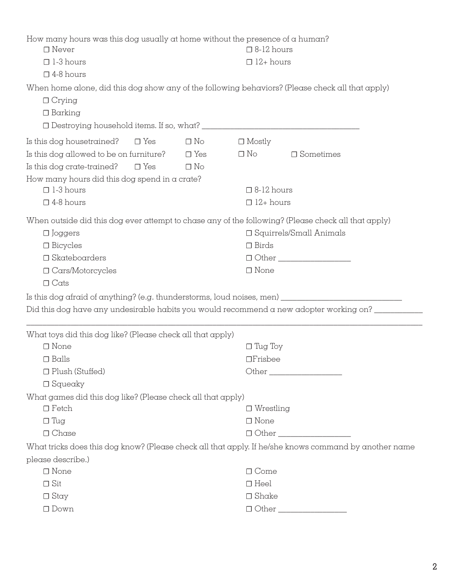| How many hours was this dog usually at home without the presence of a human?<br>$\Box$ Never<br>$\Box$ 1-3 hours<br>$\square$ 4-8 hours                                                        |                                      | $\square$ 8-12 hours<br>$\Box$ 12+ hours                                                                                                                                |                                                                                                       |  |  |
|------------------------------------------------------------------------------------------------------------------------------------------------------------------------------------------------|--------------------------------------|-------------------------------------------------------------------------------------------------------------------------------------------------------------------------|-------------------------------------------------------------------------------------------------------|--|--|
| When home alone, did this dog show any of the following behaviors? (Please check all that apply)<br>$\Box$ Crying<br>$\Box$ Barking                                                            |                                      |                                                                                                                                                                         |                                                                                                       |  |  |
| Is this dog housetrained?<br>$\Box$ Yes<br>Is this dog allowed to be on furniture?<br>Is this dog crate-trained?<br>$\Box$ Yes<br>How many hours did this dog spend in a crate?                | $\Box$ No<br>$\Box$ Yes<br>$\Box$ No | $\Box$ Mostly<br>$\square$ No                                                                                                                                           | $\Box$ Sometimes                                                                                      |  |  |
| $\Box$ 1-3 hours                                                                                                                                                                               |                                      |                                                                                                                                                                         | $\square$ 8-12 hours                                                                                  |  |  |
| $\square$ 4-8 hours                                                                                                                                                                            |                                      |                                                                                                                                                                         | $\Box$ 12+ hours                                                                                      |  |  |
| $\Box$ Joggers<br>$\Box$ Bicycles<br>$\Box$ Skateboarders<br>$\Box$ Cars/Motorcycles<br>$\Box$ Cats                                                                                            |                                      | When outside did this dog ever attempt to chase any of the following? (Please check all that apply)<br>$\Box$ Squirrels/Small Animals<br>$\Box$ Birds<br>$\square$ None |                                                                                                       |  |  |
| Is this dog afraid of anything? (e.g. thunderstorms, loud noises, men) _____________________________<br>Did this dog have any undesirable habits you would recommend a new adopter working on? |                                      |                                                                                                                                                                         |                                                                                                       |  |  |
|                                                                                                                                                                                                |                                      |                                                                                                                                                                         |                                                                                                       |  |  |
| What toys did this dog like? (Please check all that apply)<br>$\square$ None                                                                                                                   |                                      | $\Box$ Tug Toy                                                                                                                                                          |                                                                                                       |  |  |
| $\Box$ Balls                                                                                                                                                                                   |                                      |                                                                                                                                                                         | $\Box$ Frisbee                                                                                        |  |  |
| □ Plush (Stuffed)                                                                                                                                                                              |                                      |                                                                                                                                                                         |                                                                                                       |  |  |
| $\Box$ Squeaky                                                                                                                                                                                 |                                      |                                                                                                                                                                         |                                                                                                       |  |  |
| What games did this dog like? (Please check all that apply)                                                                                                                                    |                                      |                                                                                                                                                                         |                                                                                                       |  |  |
| $\Box$ Fetch                                                                                                                                                                                   |                                      |                                                                                                                                                                         | $\Box$ Wrestling                                                                                      |  |  |
| $\Box$ Tug                                                                                                                                                                                     |                                      | $\square$ None                                                                                                                                                          |                                                                                                       |  |  |
| $\Box$ Chase                                                                                                                                                                                   |                                      |                                                                                                                                                                         |                                                                                                       |  |  |
|                                                                                                                                                                                                |                                      |                                                                                                                                                                         | What tricks does this dog know? (Please check all that apply. If he/she knows command by another name |  |  |
| please describe.)                                                                                                                                                                              |                                      |                                                                                                                                                                         |                                                                                                       |  |  |
| $\square$ None                                                                                                                                                                                 |                                      | $\Box$ Come                                                                                                                                                             |                                                                                                       |  |  |
| $\Box$ Sit                                                                                                                                                                                     |                                      | $\Box$ Heel                                                                                                                                                             |                                                                                                       |  |  |
| $\Box$ Stay                                                                                                                                                                                    |                                      | $\Box$ Shake                                                                                                                                                            |                                                                                                       |  |  |
| $\Box$ Down                                                                                                                                                                                    |                                      |                                                                                                                                                                         | $\Box$ Other                                                                                          |  |  |